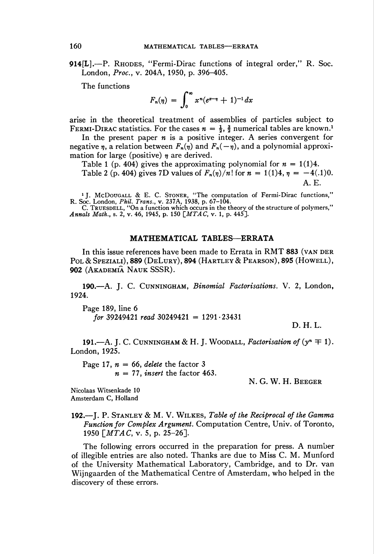914[L].—P. RHODES, "Fermi-Dirac functions of integral order," R. Soc. London, Proc, v. 204A, 1950, p. 396-405.

The functions

$$
F_n(\eta) = \int_0^\infty x^n (e^{x-\eta} + 1)^{-1} dx
$$

arise in the theoretical treatment of assemblies of particles subject to FERMI-DIRAC statistics. For the cases  $n = \frac{1}{2}$ ,  $\frac{3}{2}$  numerical tables are known.<sup>1</sup>

In the present paper  $n$  is a positive integer. A series convergent for negative  $\eta$ , a relation between  $F_n(\eta)$  and  $F_n(-\eta)$ , and a polynomial approximation for large (positive)  $\eta$  are derived.

Table 1 (p. 404) gives the approximating polynomial for  $n = 1(1)4$ .

Table 2 (p. 404) gives 7D values of  $F_n(\eta)/n!$  for  $n = 1(1)4, \eta = -4(.1)0$ . A. E.

<sup>1</sup> J. McDougall & E. C. STONER, "The computation of Fermi-Dirac functions R. Soc. London, *Phil. Trans.*, v. 237A, 1938, p. 67–104.

C. TRUESDELL, "On a function which occurs in the theory of the structure of polymers  $Annals Math.$ , s. 2, v. 46, 1945, p. 150  $[MTAC, v. 1, p. 445]$ .

## MATHEMATICAL TABLES—ERRATA

In this issue references have been made to Errata in RMT 883 (VAN DER Pol & Speziali), 889 (DeLury), 894 (Hartley & Pearson), 895 (Howell), 902 (Akademiâ Nauk SSSR).

190.—A. J. C. Cunningham, Binomial Factorisations. V. 2, London, 1924.

Page 189, line 6 for 39249421 read 30249421 =  $1291 \cdot 23431$ 

D. h. l.

191.—A. J. C. CUNNINGHAM & H. J. WOODALL, Factorisation of  $(y<sup>n</sup> \mp 1)$ . London,1925.

Page 17,  $n = 66$ , delete the factor 3  $n = 77$ , insert the factor 463.

N. G. W. H. Beeger

Nicolaas Witsenkade 10 Amsterdam C, Holland

192.—I. P. STANLEY  $\& M. V.$  WILKES, Table of the Reciprocal of the Gamma Function for Complex Argument. Computation Centre, Univ. of Toronto, 1950  $\lceil MTAG, v. 5, p. 25-26 \rceil$ .

The following errors occurred in the preparation for press. A number of illegible entries are also noted. Thanks are due to Miss C. M. Munford of the University Mathematical Laboratory, Cambridge, and to Dr. van Wijngaarden of the Mathematical Centre of Amsterdam, who helped in the discovery of these errors.